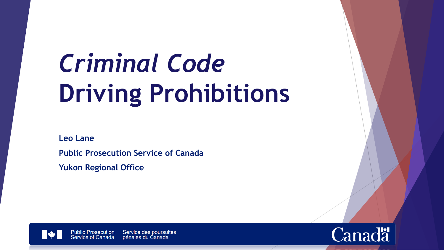# *Criminal Code* **Driving Prohibitions**

**Leo Lane**

**Public Prosecution Service of Canada**

**Yukon Regional Office**



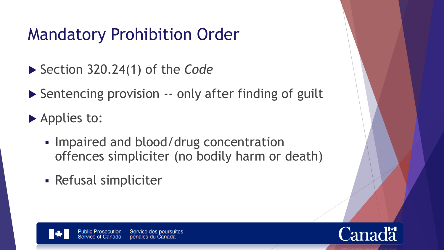# Mandatory Prohibition Order

- Section 320.24(1) of the *Code*
- ▶ Sentencing provision -- only after finding of guilt
- Applies to:
	- **Impaired and blood/drug concentration** offences simpliciter (no bodily harm or death)
	- Refusal simpliciter

Service des poursuites Public Prosecution pénales du Canada

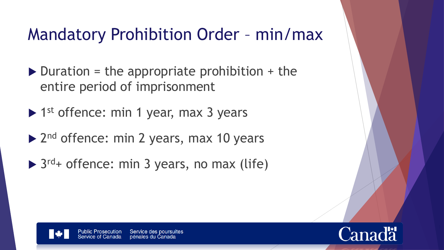#### Mandatory Prohibition Order – min/max

- $\triangleright$  Duration = the appropriate prohibition + the entire period of imprisonment
- ▶ 1<sup>st</sup> offence: min 1 year, max 3 years
- ▶ 2<sup>nd</sup> offence: min 2 years, max 10 years
- ▶ 3<sup>rd</sup>+ offence: min 3 years, no max (life)

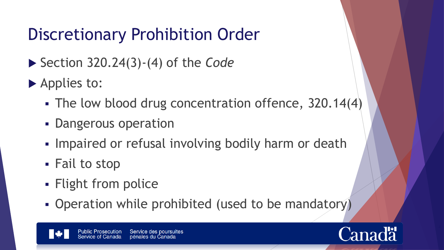# Discretionary Prohibition Order

- ▶ Section 320.24(3)-(4) of the *Code*
- ▶ Applies to:
	- The low blood drug concentration offence, 320.14(4)
	- **Dangerous operation**
	- **Impaired or refusal involving bodily harm or death**
	- Fail to stop
	- Flight from police
	- Operation while prohibited (used to be mandatory)

Service des poursuites **Public Prosecution** pénales du Canada

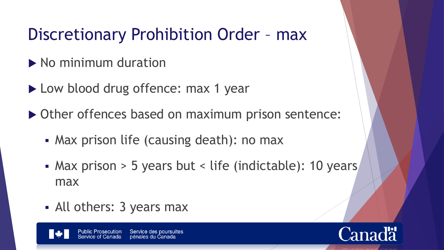# Discretionary Prohibition Order – max

- $\blacktriangleright$  No minimum duration
- ▶ Low blood drug offence: max 1 year
- ▶ Other offences based on maximum prison sentence:
	- Max prison life (causing death): no max
	- Max prison > 5 years but < life (indictable): 10 years max
	- All others: 3 years max

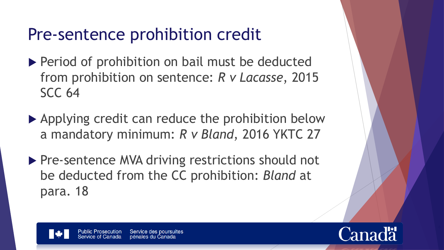## Pre-sentence prohibition credit

- ▶ Period of prohibition on bail must be deducted from prohibition on sentence: *R v Lacasse*, 2015 SCC 64
- ▶ Applying credit can reduce the prohibition below a mandatory minimum: *R v Bland*, 2016 YKTC 27
- ▶ Pre-sentence MVA driving restrictions should not be deducted from the CC prohibition: *Bland* at para. 18



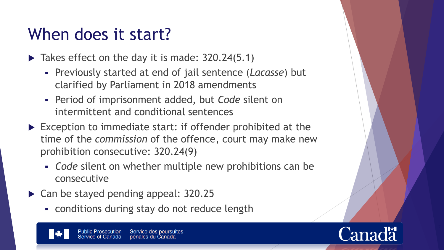#### When does it start?

- $\blacktriangleright$  Takes effect on the day it is made: 320.24(5.1)
	- Previously started at end of jail sentence (*Lacasse*) but clarified by Parliament in 2018 amendments
	- Period of imprisonment added, but *Code* silent on intermittent and conditional sentences
- ▶ Exception to immediate start: if offender prohibited at the time of the *commission* of the offence, court may make new prohibition consecutive: 320.24(9)
	- *Code* silent on whether multiple new prohibitions can be consecutive
- ▶ Can be stayed pending appeal: 320.25
	- conditions during stay do not reduce length



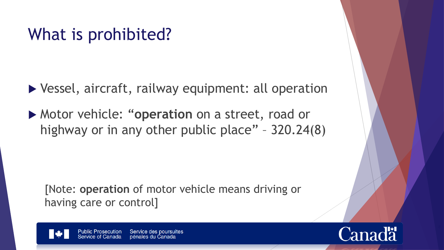#### What is prohibited?

▶ Vessel, aircraft, railway equipment: all operation

 Motor vehicle: "**operation** on a street, road or highway or in any other public place" – 320.24(8)

[Note: **operation** of motor vehicle means driving or having care or control]



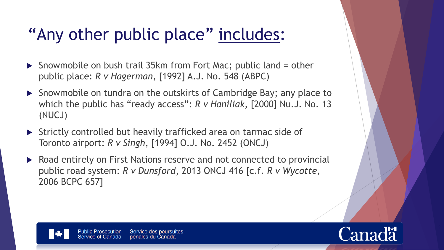# "Any other public place" includes:

- ▶ Snowmobile on bush trail 35km from Fort Mac; public land = other public place: *R v Hagerman*, [1992] A.J. No. 548 (ABPC)
- ▶ Snowmobile on tundra on the outskirts of Cambridge Bay; any place to which the public has "ready access": *R v Haniliak*, [2000] Nu.J. No. 13 (NUCJ)
- ▶ Strictly controlled but heavily trafficked area on tarmac side of Toronto airport: *R v Singh*, [1994] O.J. No. 2452 (ONCJ)
- ▶ Road entirely on First Nations reserve and not connected to provincial public road system: *R v Dunsford*, 2013 ONCJ 416 [c.f. *R v Wycotte*, 2006 BCPC 657]

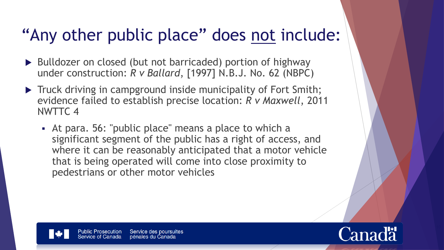#### "Any other public place" does not include:

- ▶ Bulldozer on closed (but not barricaded) portion of highway under construction: *R v Ballard*, [1997] N.B.J. No. 62 (NBPC)
- Truck driving in campground inside municipality of Fort Smith; evidence failed to establish precise location: *R v Maxwell*, 2011 NWTTC 4
	- At para. 56: "public place" means a place to which a significant segment of the public has a right of access, and where it can be reasonably anticipated that a motor vehicle that is being operated will come into close proximity to pedestrians or other motor vehicles

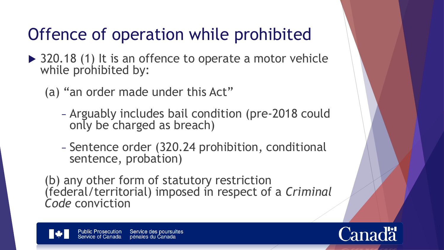# Offence of operation while prohibited

- ▶ 320.18 (1) It is an offence to operate a motor vehicle while prohibited by:
	- (a) "an order made under this Act"
		- − Arguably includes bail condition (pre-2018 could only be charged as breach)
		- − Sentence order (320.24 prohibition, conditional sentence, probation)

(b) any other form of statutory restriction (federal/territorial) imposed in respect of a *Criminal Code* conviction